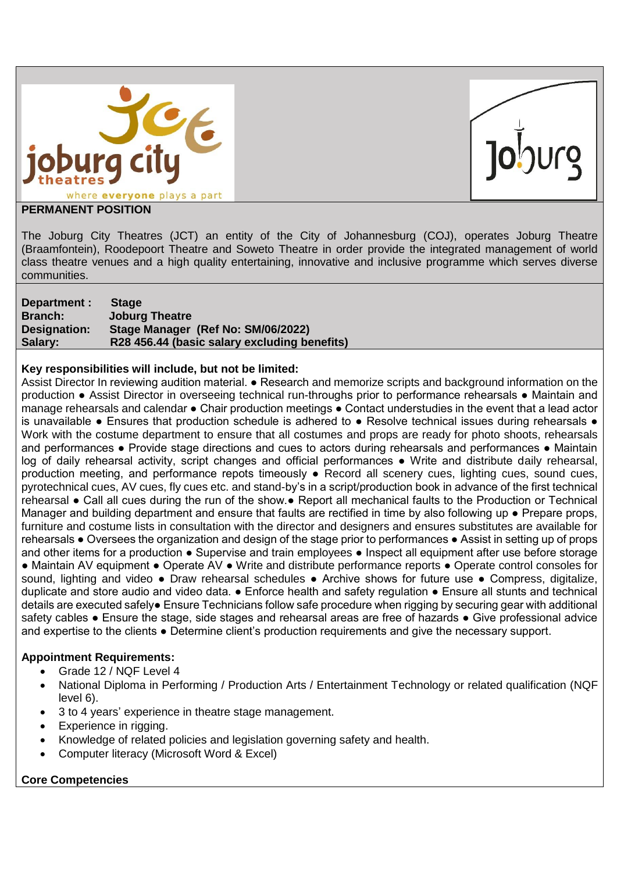



#### **PERMANENT POSITION**

The Joburg City Theatres (JCT) an entity of the City of Johannesburg (COJ), operates Joburg Theatre (Braamfontein), Roodepoort Theatre and Soweto Theatre in order provide the integrated management of world class theatre venues and a high quality entertaining, innovative and inclusive programme which serves diverse communities.

| Department :   | <b>Stage</b>                                 |
|----------------|----------------------------------------------|
| <b>Branch:</b> | <b>Joburg Theatre</b>                        |
| Designation:   | Stage Manager (Ref No: SM/06/2022)           |
| Salary:        | R28 456.44 (basic salary excluding benefits) |

#### **Key responsibilities will include, but not be limited:**

Assist Director In reviewing audition material. ● Research and memorize scripts and background information on the production **●** Assist Director in overseeing technical run-throughs prior to performance rehearsals ● Maintain and manage rehearsals and calendar ● Chair production meetings ● Contact understudies in the event that a lead actor is unavailable • Ensures that production schedule is adhered to • Resolve technical issues during rehearsals • Work with the costume department to ensure that all costumes and props are ready for photo shoots, rehearsals and performances ● Provide stage directions and cues to actors during rehearsals and performances ● Maintain log of daily rehearsal activity, script changes and official performances • Write and distribute daily rehearsal, production meeting, and performance repots timeously ● Record all scenery cues, lighting cues, sound cues, pyrotechnical cues, AV cues, fly cues etc. and stand-by's in a script/production book in advance of the first technical rehearsal ● Call all cues during the run of the show.● Report all mechanical faults to the Production or Technical Manager and building department and ensure that faults are rectified in time by also following up ● Prepare props, furniture and costume lists in consultation with the director and designers and ensures substitutes are available for rehearsals ● Oversees the organization and design of the stage prior to performances ● Assist in setting up of props and other items for a production • Supervise and train employees • Inspect all equipment after use before storage ● Maintain AV equipment ● Operate AV ● Write and distribute performance reports ● Operate control consoles for sound, lighting and video • Draw rehearsal schedules • Archive shows for future use • Compress, digitalize, duplicate and store audio and video data. ● Enforce health and safety regulation ● Ensure all stunts and technical details are executed safely● Ensure Technicians follow safe procedure when rigging by securing gear with additional safety cables • Ensure the stage, side stages and rehearsal areas are free of hazards • Give professional advice and expertise to the clients ● Determine client's production requirements and give the necessary support.

# **Appointment Requirements:**

- Grade 12 / NQF Level 4
- National Diploma in Performing / Production Arts / Entertainment Technology or related qualification (NQF level 6).
- 3 to 4 years' experience in theatre stage management.
- Experience in rigging.
- Knowledge of related policies and legislation governing safety and health.
- Computer literacy (Microsoft Word & Excel)

# **Core Competencies**